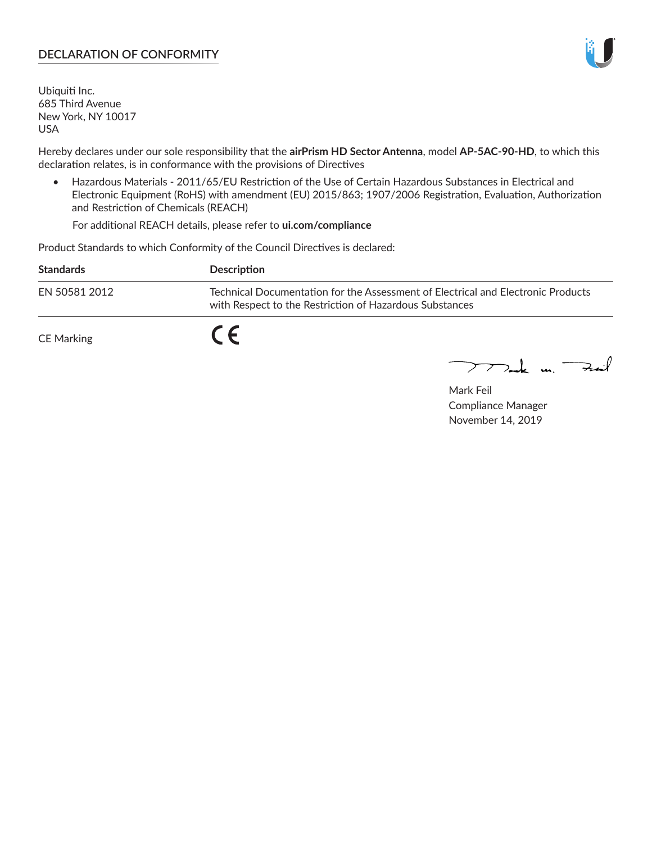## **DECLARATION OF CONFORMITY**

Ubiquiti Inc. 685 Third Avenue New York, NY 10017 USA

Hereby declares under our sole responsibility that the **airPrism HD Sector Antenna**, model **AP-5AC-90-HD**, to which this declaration relates, is in conformance with the provisions of Directives

• Hazardous Materials - 2011/65/EU Restriction of the Use of Certain Hazardous Substances in Electrical and Electronic Equipment (RoHS) with amendment (EU) 2015/863; 1907/2006 Registration, Evaluation, Authorization and Restriction of Chemicals (REACH)

For additional REACH details, please refer to **ui.com/compliance**

Product Standards to which Conformity of the Council Directives is declared:

| <b>Standards</b> | <b>Description</b>                                                                                                                          |
|------------------|---------------------------------------------------------------------------------------------------------------------------------------------|
| EN 50581 2012    | Technical Documentation for the Assessment of Electrical and Electronic Products<br>with Respect to the Restriction of Hazardous Substances |
| CE Marking       |                                                                                                                                             |

 $\sum_{n=1}^{\infty}$  un  $\sum_{n=1}^{\infty}$ 

Mark Feil Compliance Manager November 14, 2019

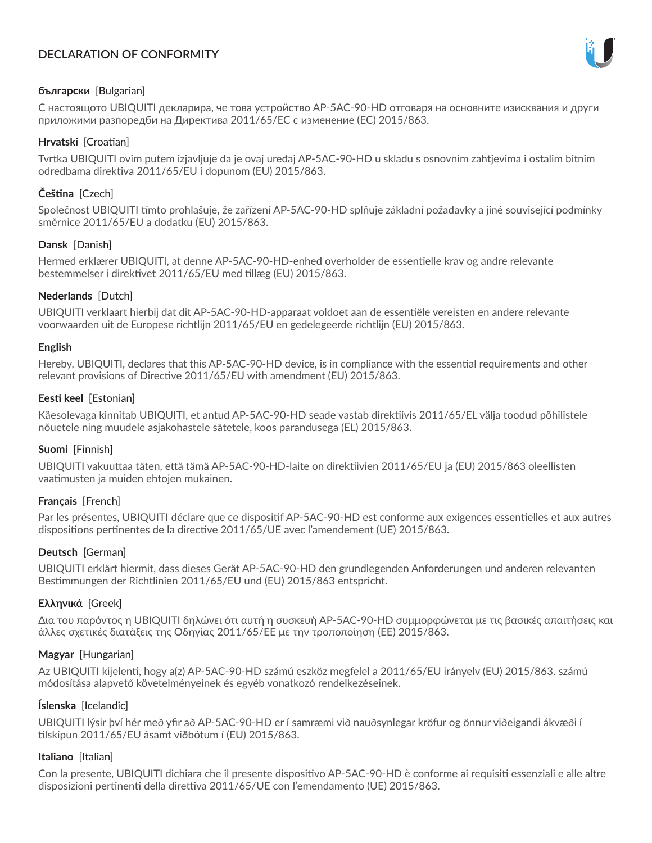# **DECLARATION OF CONFORMITY**



## **български** [Bulgarian]

С настоящото UBIQUITI декларира, че това устройство AP-5AC-90-HD отговаря на основните изисквания и други приложими разпоредби на Директива 2011/65/ЕС с изменение (ЕС) 2015/863.

## **Hrvatski** [Croatian]

Tvrtka UBIQUITI ovim putem izjavljuje da je ovaj uređaj AP-5AC-90-HD u skladu s osnovnim zahtjevima i ostalim bitnim odredbama direktiva 2011/65/EU i dopunom (EU) 2015/863.

# **Čeština** [Czech]

Společnost UBIQUITI tímto prohlašuje, že zařízení AP-5AC-90-HD splňuje základní požadavky a jiné související podmínky směrnice 2011/65/EU a dodatku (EU) 2015/863.

### **Dansk** [Danish]

Hermed erklærer UBIQUITI, at denne AP-5AC-90-HD-enhed overholder de essentielle krav og andre relevante bestemmelser i direktivet 2011/65/EU med tillæg (EU) 2015/863.

### **Nederlands** [Dutch]

UBIQUITI verklaart hierbij dat dit AP-5AC-90-HD-apparaat voldoet aan de essentiële vereisten en andere relevante voorwaarden uit de Europese richtlijn 2011/65/EU en gedelegeerde richtlijn (EU) 2015/863.

#### **English**

Hereby, UBIQUITI, declares that this AP-5AC-90-HD device, is in compliance with the essential requirements and other relevant provisions of Directive 2011/65/EU with amendment (EU) 2015/863.

### **Eesti keel** [Estonian]

Käesolevaga kinnitab UBIQUITI, et antud AP-5AC-90-HD seade vastab direktiivis 2011/65/EL välja toodud põhilistele nõuetele ning muudele asjakohastele sätetele, koos parandusega (EL) 2015/863.

## **Suomi** [Finnish]

UBIQUITI vakuuttaa täten, että tämä AP-5AC-90-HD-laite on direktiivien 2011/65/EU ja (EU) 2015/863 oleellisten vaatimusten ja muiden ehtojen mukainen.

#### **Français** [French]

Par les présentes, UBIQUITI déclare que ce dispositif AP-5AC-90-HD est conforme aux exigences essentielles et aux autres dispositions pertinentes de la directive 2011/65/UE avec l'amendement (UE) 2015/863.

## **Deutsch** [German]

UBIQUITI erklärt hiermit, dass dieses Gerät AP-5AC-90-HD den grundlegenden Anforderungen und anderen relevanten Bestimmungen der Richtlinien 2011/65/EU und (EU) 2015/863 entspricht.

## **Ελληνικά** [Greek]

Δια του παρόντος η UBIQUITI δηλώνει ότι αυτή η συσκευή AP-5AC-90-HD συμμορφώνεται με τις βασικές απαιτήσεις και άλλες σχετικές διατάξεις της Οδηγίας 2011/65/ΕΕ με την τροποποίηση (ΕΕ) 2015/863.

## **Magyar** [Hungarian]

Az UBIQUITI kijelenti, hogy a(z) AP-5AC-90-HD számú eszköz megfelel a 2011/65/EU irányelv (EU) 2015/863. számú módosítása alapvető követelményeinek és egyéb vonatkozó rendelkezéseinek.

#### **Íslenska** [Icelandic]

UBIQUITI lýsir því hér með yfir að AP-5AC-90-HD er í samræmi við nauðsynlegar kröfur og önnur viðeigandi ákvæði í tilskipun 2011/65/EU ásamt viðbótum í (EU) 2015/863.

#### **Italiano** [Italian]

Con la presente, UBIQUITI dichiara che il presente dispositivo AP-5AC-90-HD è conforme ai requisiti essenziali e alle altre disposizioni pertinenti della direttiva 2011/65/UE con l'emendamento (UE) 2015/863.